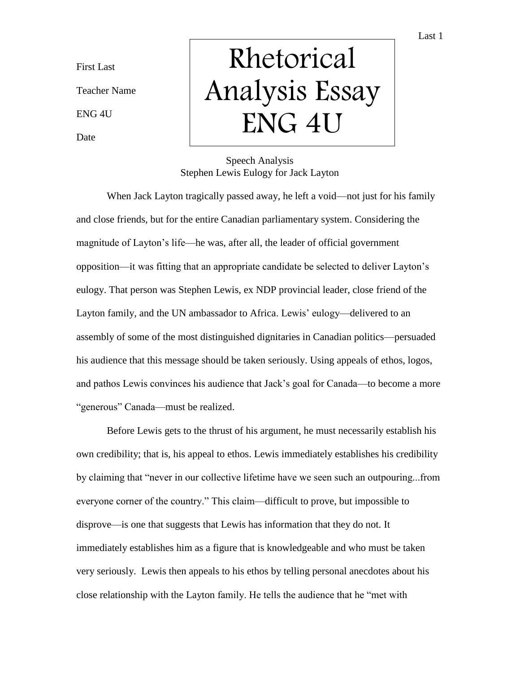Last 1

First Last

Teacher Name

ENG 4U

Date

## Rhetorical Analysis Essay ENG 4U

## Speech Analysis Stephen Lewis Eulogy for Jack Layton

When Jack Layton tragically passed away, he left a void—not just for his family and close friends, but for the entire Canadian parliamentary system. Considering the magnitude of Layton's life—he was, after all, the leader of official government opposition—it was fitting that an appropriate candidate be selected to deliver Layton's eulogy. That person was Stephen Lewis, ex NDP provincial leader, close friend of the Layton family, and the UN ambassador to Africa. Lewis' eulogy—delivered to an assembly of some of the most distinguished dignitaries in Canadian politics—persuaded his audience that this message should be taken seriously. Using appeals of ethos, logos, and pathos Lewis convinces his audience that Jack's goal for Canada—to become a more "generous" Canada—must be realized.

Before Lewis gets to the thrust of his argument, he must necessarily establish his own credibility; that is, his appeal to ethos. Lewis immediately establishes his credibility by claiming that "never in our collective lifetime have we seen such an outpouring...from everyone corner of the country." This claim—difficult to prove, but impossible to disprove—is one that suggests that Lewis has information that they do not. It immediately establishes him as a figure that is knowledgeable and who must be taken very seriously. Lewis then appeals to his ethos by telling personal anecdotes about his close relationship with the Layton family. He tells the audience that he "met with